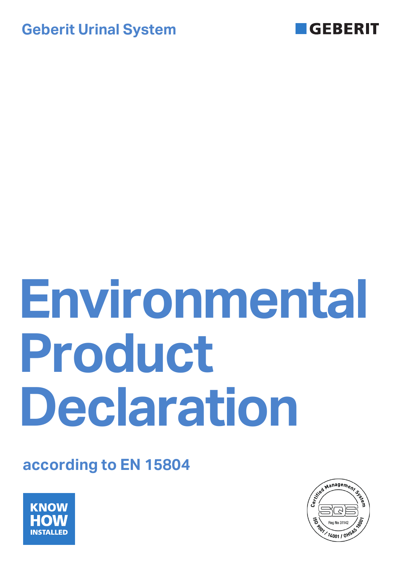



# **Environmental Product Declaration**

# **according to EN 15804**



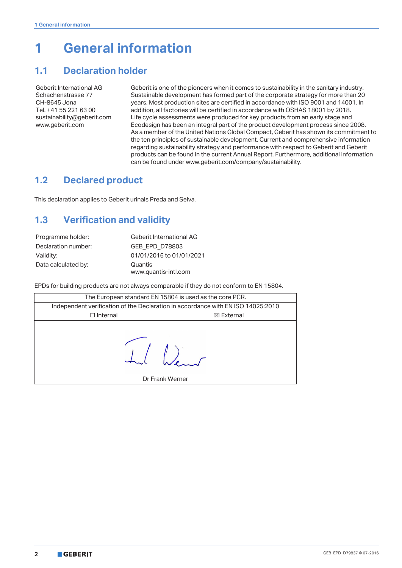# **1 General information**

## **1.1 Declaration holder**

Geberit International AG Schachenstrasse 77 CH-8645 Jona Tel. +41 55 221 63 00 sustainability@geberit.com www.geberit.com

Geberit is one of the pioneers when it comes to sustainability in the sanitary industry. Sustainable development has formed part of the corporate strategy for more than 20 years. Most production sites are certified in accordance with ISO 9001 and 14001. In addition, all factories will be certified in accordance with OSHAS 18001 by 2018. Life cycle assessments were produced for key products from an early stage and Ecodesign has been an integral part of the product development process since 2008. As a member of the United Nations Global Compact, Geberit has shown its commitment to the ten principles of sustainable development. Current and comprehensive information regarding sustainability strategy and performance with respect to Geberit and Geberit products can be found in the current Annual Report. Furthermore, additional information can be found under www.geberit.com/company/sustainability.

# **1.2 Declared product**

This declaration applies to Geberit urinals Preda and Selva.

# <span id="page-1-0"></span>**1.3 Verification and validity**

| Programme holder:   | Geberit International AG |
|---------------------|--------------------------|
| Declaration number: | <b>GEB EPD D78803</b>    |
| Validity:           | 01/01/2016 to 01/01/2021 |
| Data calculated by: | Quantis                  |
|                     | www.quantis-intl.com     |

EPDs for building products are not always comparable if they do not conform to EN 15804.

| The European standard EN 15804 is used as the core PCR. |                                                                                  |                   |  |  |  |  |  |
|---------------------------------------------------------|----------------------------------------------------------------------------------|-------------------|--|--|--|--|--|
|                                                         | Independent verification of the Declaration in accordance with EN ISO 14025:2010 |                   |  |  |  |  |  |
| $\Box$ Internal                                         |                                                                                  | <b>⊠</b> External |  |  |  |  |  |
|                                                         | Dr Frank Werner                                                                  |                   |  |  |  |  |  |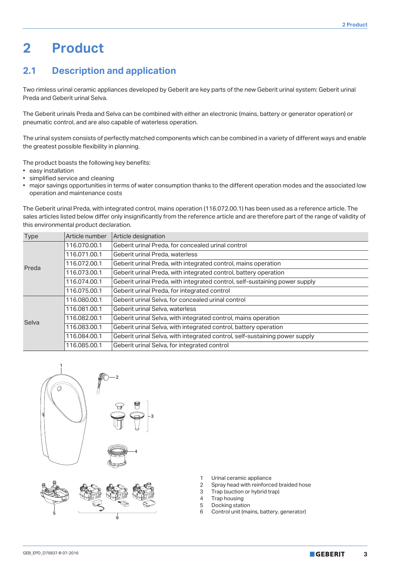# **2 Product**

# **2.1 Description and application**

Two rimless urinal ceramic appliances developed by Geberit are key parts of the new Geberit urinal system: Geberit urinal Preda and Geberit urinal Selva.

The Geberit urinals Preda and Selva can be combined with either an electronic (mains, battery or generator operation) or pneumatic control, and are also capable of waterless operation.

The urinal system consists of perfectly matched components which can be combined in a variety of different ways and enable the greatest possible flexibility in planning.

The product boasts the following key benefits:

- easy installation
- simplified service and cleaning
- major savings opportunities in terms of water consumption thanks to the different operation modes and the associated low operation and maintenance costs

The Geberit urinal Preda, with integrated control, mains operation (116.072.00.1) has been used as a reference article. The sales articles listed below differ only insignificantly from the reference article and are therefore part of the range of validity of this environmental product declaration.

| <b>Type</b> | Article number | Article designation                                                         |
|-------------|----------------|-----------------------------------------------------------------------------|
| Preda       | 116.070.00.1   | Geberit urinal Preda, for concealed urinal control                          |
|             | 116.071.00.1   | Geberit urinal Preda, waterless                                             |
|             | 116.072.00.1   | Geberit urinal Preda, with integrated control, mains operation              |
|             | 116.073.00.1   | Geberit urinal Preda, with integrated control, battery operation            |
|             | 116.074.00.1   | Geberit urinal Preda, with integrated control, self-sustaining power supply |
|             | 116.075.00.1   | Geberit urinal Preda, for integrated control                                |
|             | 116.080.00.1   | Geberit urinal Selva, for concealed urinal control                          |
|             | 116.081.00.1   | Geberit urinal Selva, waterless                                             |
| Selva       | 116.082.00.1   | Geberit urinal Selva, with integrated control, mains operation              |
|             | 116.083.00.1   | Geberit urinal Selva, with integrated control, battery operation            |
|             | 116.084.00.1   | Geberit urinal Selva, with integrated control, self-sustaining power supply |
|             | 116.085.00.1   | Geberit urinal Selva, for integrated control                                |



6

- 1 Urinal ceramic appliance<br>2 Spray head with reinforce
- Spray head with reinforced braided hose
- 3 Trap (suction or hybrid trap)
- 4 Trap housing
- 5 Docking station
- 6 Control unit (mains, battery, generator)

5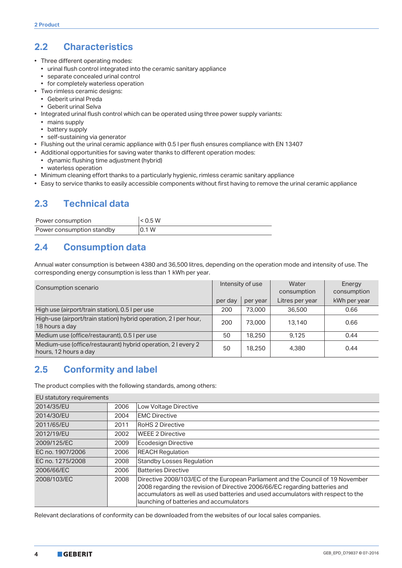# **2.2 Characteristics**

- Three different operating modes:
	- urinal flush control integrated into the ceramic sanitary appliance
	- separate concealed urinal control
	- for completely waterless operation
- Two rimless ceramic designs:
	- Geberit urinal Preda
- Geberit urinal Selva
- Integrated urinal flush control which can be operated using three power supply variants:
	- mains supply
	- battery supply
	- self-sustaining via generator
- Flushing out the urinal ceramic appliance with 0.5 l per flush ensures compliance with EN 13407
- Additional opportunities for saving water thanks to different operation modes:
- dynamic flushing time adjustment (hybrid)
- waterless operation
- Minimum cleaning effort thanks to a particularly hygienic, rimless ceramic sanitary appliance
- Easy to service thanks to easily accessible components without first having to remove the urinal ceramic appliance

# <span id="page-3-2"></span>**2.3 Technical data**

| Power consumption         | < 0.5 W |
|---------------------------|---------|
| Power consumption standby | 0.1 W   |

# <span id="page-3-1"></span>**2.4 Consumption data**

Annual water consumption is between 4380 and 36,500 litres, depending on the operation mode and intensity of use. The corresponding energy consumption is less than 1 kWh per year.

| Consumption scenario                                                                  | Intensity of use |          | Water<br>consumption | Energy<br>consumption |
|---------------------------------------------------------------------------------------|------------------|----------|----------------------|-----------------------|
|                                                                                       | per day          | per year | Litres per year      | kWh per year          |
| High use (airport/train station), 0.5 I per use                                       | 200              | 73,000   | 36,500               | 0.66                  |
| High-use (airport/train station) hybrid operation, 2 I per hour,<br>18 hours a day    | 200              | 73,000   | 13,140               | 0.66                  |
| Medium use (office/restaurant), 0.5 I per use                                         | 50               | 18.250   | 9.125                | 0.44                  |
| Medium-use (office/restaurant) hybrid operation, 2 I every 2<br>hours, 12 hours a day | 50               | 18,250   | 4,380                | 0.44                  |

## <span id="page-3-0"></span>**2.5 Conformity and label**

The product complies with the following standards, among others:

| EU statutory requirements |      |                                                                                                                                                                                                                                                                                               |
|---------------------------|------|-----------------------------------------------------------------------------------------------------------------------------------------------------------------------------------------------------------------------------------------------------------------------------------------------|
| 2014/35/EU                | 2006 | Low Voltage Directive                                                                                                                                                                                                                                                                         |
| 2014/30/EU                | 2004 | <b>EMC Directive</b>                                                                                                                                                                                                                                                                          |
| 2011/65/EU                | 2011 | <b>RoHS 2 Directive</b>                                                                                                                                                                                                                                                                       |
| 2012/19/EU                | 2002 | <b>WEEE 2 Directive</b>                                                                                                                                                                                                                                                                       |
| 2009/125/EC               | 2009 | Ecodesign Directive                                                                                                                                                                                                                                                                           |
| EC no. 1907/2006          | 2006 | <b>REACH Regulation</b>                                                                                                                                                                                                                                                                       |
| EC no. 1275/2008          | 2008 | <b>Standby Losses Regulation</b>                                                                                                                                                                                                                                                              |
| 2006/66/EC                | 2006 | <b>Batteries Directive</b>                                                                                                                                                                                                                                                                    |
| 2008/103/EC               | 2008 | Directive 2008/103/EC of the European Parliament and the Council of 19 November<br>2008 regarding the revision of Directive 2006/66/EC regarding batteries and<br>accumulators as well as used batteries and used accumulators with respect to the<br>launching of batteries and accumulators |

Relevant declarations of conformity can be downloaded from the websites of our local sales companies.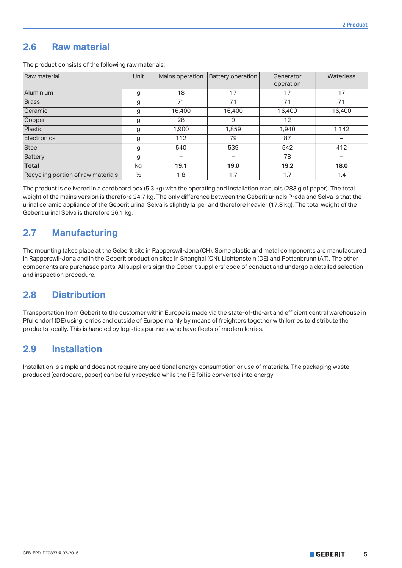#### <span id="page-4-0"></span>**2.6 Raw material**

The product consists of the following raw materials:

| Raw material                       | Unit | Mains operation | <b>Battery operation</b> | Generator<br>operation | Waterless |
|------------------------------------|------|-----------------|--------------------------|------------------------|-----------|
| Aluminium                          | g    | 18              | 17                       | 17                     | 17        |
| <b>Brass</b>                       | g    | 71              | 71                       | 71                     | 71        |
| Ceramic                            | g    | 16,400          | 16,400                   | 16,400                 | 16,400    |
| Copper                             | g    | 28              | 9                        | 12                     |           |
| Plastic                            | g    | 1,900           | 1,859                    | 1.940                  | 1,142     |
| Electronics                        | g    | 112             | 79                       | 87                     |           |
| <b>Steel</b>                       | g    | 540             | 539                      | 542                    | 412       |
| <b>Battery</b>                     | g    |                 |                          | 78                     |           |
| <b>Total</b>                       | kg   | 19.1            | 19.0                     | 19.2                   | 18.0      |
| Recycling portion of raw materials | $\%$ | 1.8             | 1.7                      | 1.7                    | 1.4       |

The product is delivered in a cardboard box (5.3 kg) with the operating and installation manuals (283 g of paper). The total weight of the mains version is therefore 24.7 kg. The only difference between the Geberit urinals Preda and Selva is that the urinal ceramic appliance of the Geberit urinal Selva is slightly larger and therefore heavier (17.8 kg). The total weight of the Geberit urinal Selva is therefore 26.1 kg.

## <span id="page-4-1"></span>**2.7 Manufacturing**

The mounting takes place at the Geberit site in Rapperswil-Jona (CH). Some plastic and metal components are manufactured in Rapperswil-Jona and in the Geberit production sites in Shanghai (CN), Lichtenstein (DE) and Pottenbrunn (AT). The other components are purchased parts. All suppliers sign the Geberit suppliers' code of conduct and undergo a detailed selection and inspection procedure.

## **2.8 Distribution**

Transportation from Geberit to the customer within Europe is made via the state-of-the-art and efficient central warehouse in Pfullendorf (DE) using lorries and outside of Europe mainly by means of freighters together with lorries to distribute the products locally. This is handled by logistics partners who have fleets of modern lorries.

#### **2.9 Installation**

Installation is simple and does not require any additional energy consumption or use of materials. The packaging waste produced (cardboard, paper) can be fully recycled while the PE foil is converted into energy.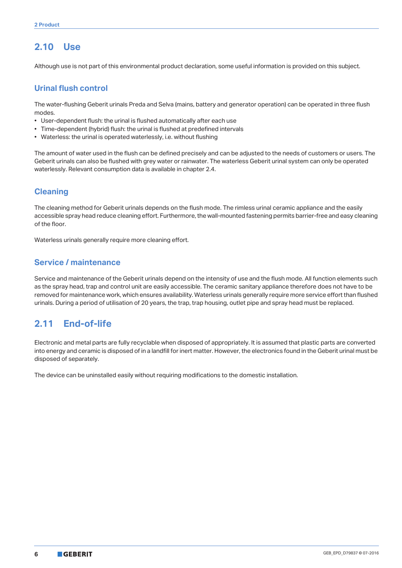# <span id="page-5-0"></span>**2.10 Use**

Although use is not part of this environmental product declaration, some useful information is provided on this subject.

#### **Urinal flush control**

The water-flushing Geberit urinals Preda and Selva (mains, battery and generator operation) can be operated in three flush modes.

- User-dependent flush: the urinal is flushed automatically after each use
- Time-dependent (hybrid) flush: the urinal is flushed at predefined intervals
- Waterless: the urinal is operated waterlessly, i.e. without flushing

The amount of water used in the flush can be defined precisely and can be adjusted to the needs of customers or users. The Geberit urinals can also be flushed with grey water or rainwater. The waterless Geberit urinal system can only be operated waterlessly. Relevant consumption data is available in chapter 2.4.

#### **Cleaning**

The cleaning method for Geberit urinals depends on the flush mode. The rimless urinal ceramic appliance and the easily accessible spray head reduce cleaning effort. Furthermore, the wall-mounted fastening permits barrier-free and easy cleaning of the floor.

Waterless urinals generally require more cleaning effort.

#### **Service / maintenance**

Service and maintenance of the Geberit urinals depend on the intensity of use and the flush mode. All function elements such as the spray head, trap and control unit are easily accessible. The ceramic sanitary appliance therefore does not have to be removed for maintenance work, which ensures availability. Waterless urinals generally require more service effort than flushed urinals. During a period of utilisation of 20 years, the trap, trap housing, outlet pipe and spray head must be replaced.

## <span id="page-5-1"></span>**2.11 End-of-life**

Electronic and metal parts are fully recyclable when disposed of appropriately. It is assumed that plastic parts are converted into energy and ceramic is disposed of in a landfill for inert matter. However, the electronics found in the Geberit urinal must be disposed of separately.

The device can be uninstalled easily without requiring modifications to the domestic installation.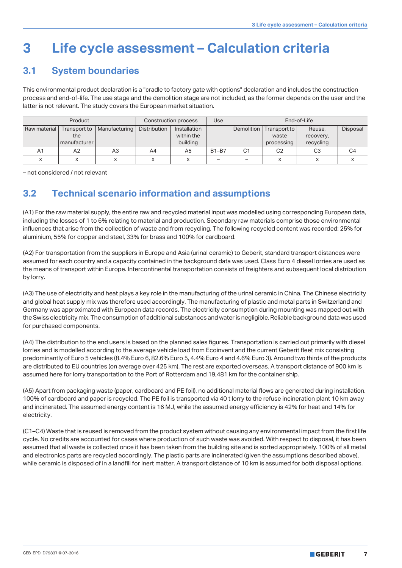# **3 Life cycle assessment – Calculation criteria**

# <span id="page-6-0"></span>**3.1 System boundaries**

This environmental product declaration is a "cradle to factory gate with options" declaration and includes the construction process and end-of-life. The use stage and the demolition stage are not included, as the former depends on the user and the latter is not relevant. The study covers the European market situation.

| Product        |                                     |               | Construction process |                                        | Use             | End-of-Life    |                                     |                                  |                 |
|----------------|-------------------------------------|---------------|----------------------|----------------------------------------|-----------------|----------------|-------------------------------------|----------------------------------|-----------------|
| Raw material   | Transport to<br>the<br>manufacturer | Manufacturing | Distribution         | Installation<br>within the<br>building |                 | Demolition     | Transport to<br>waste<br>processing | Reuse,<br>recovery,<br>recycling | <b>Disposal</b> |
| A <sub>1</sub> | A2                                  | A3            | A4                   | A5                                     | $B1-B7$         | C <sub>1</sub> | C <sub>2</sub>                      | C3                               | C4              |
|                |                                     | x             | x                    | ^                                      | $\qquad \qquad$ | -              | X                                   | v<br>∧                           |                 |

– not considered / not relevant

# **3.2 Technical scenario information and assumptions**

(A1) For the raw material supply, the entire raw and recycled material input was modelled using corresponding European data, including the losses of 1 to 6% relating to material and production. Secondary raw materials comprise those environmental influences that arise from the collection of waste and from recycling. The following recycled content was recorded: 25% for aluminium, 55% for copper and steel, 33% for brass and 100% for cardboard.

(A2) For transportation from the suppliers in Europe and Asia (urinal ceramic) to Geberit, standard transport distances were assumed for each country and a capacity contained in the background data was used. Class Euro 4 diesel lorries are used as the means of transport within Europe. Intercontinental transportation consists of freighters and subsequent local distribution by lorry.

(A3) The use of electricity and heat plays a key role in the manufacturing of the urinal ceramic in China. The Chinese electricity and global heat supply mix was therefore used accordingly. The manufacturing of plastic and metal parts in Switzerland and Germany was approximated with European data records. The electricity consumption during mounting was mapped out with the Swiss electricity mix. The consumption of additional substances and water is negligible. Reliable background data was used for purchased components.

(A4) The distribution to the end users is based on the planned sales figures. Transportation is carried out primarily with diesel lorries and is modelled according to the average vehicle load from Ecoinvent and the current Geberit fleet mix consisting predominantly of Euro 5 vehicles (8.4% Euro 6, 82.6% Euro 5, 4.4% Euro 4 and 4.6% Euro 3). Around two thirds of the products are distributed to EU countries (on average over 425 km). The rest are exported overseas. A transport distance of 900 km is assumed here for lorry transportation to the Port of Rotterdam and 19,481 km for the container ship.

(A5) Apart from packaging waste (paper, cardboard and PE foil), no additional material flows are generated during installation. 100% of cardboard and paper is recycled. The PE foil is transported via 40 t lorry to the refuse incineration plant 10 km away and incinerated. The assumed energy content is 16 MJ, while the assumed energy efficiency is 42% for heat and 14% for electricity.

(C1–C4) Waste that is reused is removed from the product system without causing any environmental impact from the first life cycle. No credits are accounted for cases where production of such waste was avoided. With respect to disposal, it has been assumed that all waste is collected once it has been taken from the building site and is sorted appropriately. 100% of all metal and electronics parts are recycled accordingly. The plastic parts are incinerated (given the assumptions described above), while ceramic is disposed of in a landfill for inert matter. A transport distance of 10 km is assumed for both disposal options.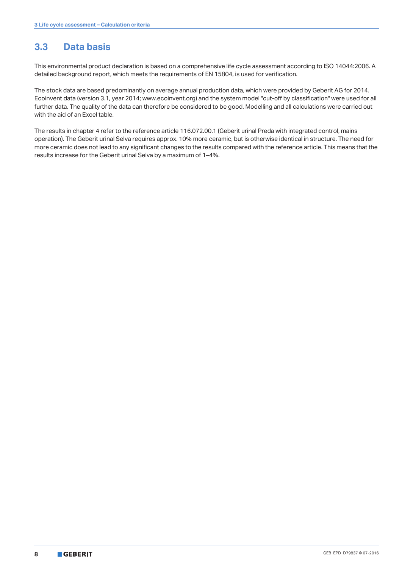# **3.3 Data basis**

This environmental product declaration is based on a comprehensive life cycle assessment according to ISO 14044:2006. A detailed background report, which meets the requirements of EN 15804, is used for verification.

The stock data are based predominantly on average annual production data, which were provided by Geberit AG for 2014. Ecoinvent data (version 3.1, year 2014; www.ecoinvent.org) and the system model "cut-off by classification" were used for all further data. The quality of the data can therefore be considered to be good. Modelling and all calculations were carried out with the aid of an Excel table.

The results in chapter 4 refer to the reference article 116.072.00.1 (Geberit urinal Preda with integrated control, mains operation). The Geberit urinal Selva requires approx. 10% more ceramic, but is otherwise identical in structure. The need for more ceramic does not lead to any significant changes to the results compared with the reference article. This means that the results increase for the Geberit urinal Selva by a maximum of 1–4%.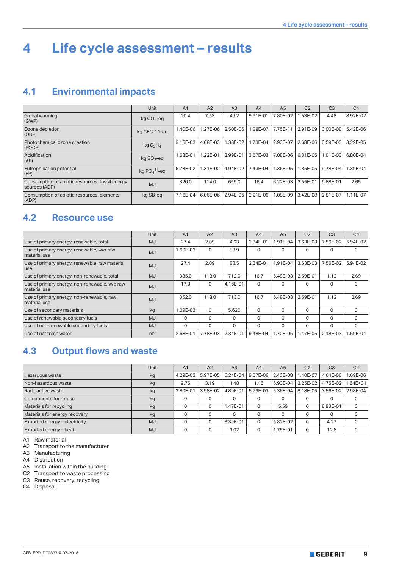# <span id="page-8-2"></span>**4 Life cycle assessment – results**

## <span id="page-8-0"></span>**4.1 Environmental impacts**

|                                                                  | <b>Unit</b>                     | A <sub>1</sub> | A2       | A <sub>3</sub> | A4       | A <sub>5</sub> | C <sub>2</sub> | C <sub>3</sub> | C <sub>4</sub> |
|------------------------------------------------------------------|---------------------------------|----------------|----------|----------------|----------|----------------|----------------|----------------|----------------|
| Global warming<br>(GWP)                                          | $kg CO2 - eq$                   | 20.4           | 7.53     | 49.2           | 9.91E-01 | 7.80E-02       | 1.53E-02       | 4.48           | 8.92E-02       |
| Ozone depletion<br>(ODP)                                         | kg CFC-11-eq                    | 1.40E-06       | 1.27E-06 | 2.50E-06       | .88E-07  | 7.75E-11       | 2.91E-09       | 3.00E-08       | 5.42E-06       |
| Photochemical ozone creation<br>(POCP)                           | kgC <sub>2</sub> H <sub>4</sub> | 9.16E-03       | 4.08E-03 | 1.38E-02       | 1.73E-04 | 2.93E-07       | 2.68E-06       | 3.59E-05       | 3.29E-05       |
| Acidification<br>(AP)                                            | $kg$ SO <sub>2</sub> -eq        | 1.63E-01       | 1.22E-01 | 2.99E-01       | 3.57E-03 | 7.08E-06       | 6.31E-05       | 1.01E-03       | 6.80E-04       |
| Eutrophication potential<br>(EP)                                 | kg $PO43-$ -eq                  | 6.73E-02       | 1.31E-02 | 4.94E-02       | 7.43E-04 | 1.36E-05       | 1.35E-05       | 9.78E-04       | 1.39E-04       |
| Consumption of abiotic resources, fossil energy<br>sources (ADP) | <b>MJ</b>                       | 320.0          | 114.0    | 659.0          | 16.4     | 6.22E-03       | 2.55E-01       | 9.88E-01       | 2.65           |
| Consumption of abiotic resources, elements<br>(ADP)              | kg SB-eg                        | 7.16E-04       | 6.06E-06 | 2.94E-05       | 2.21E-06 | 1.08E-09       | 3.42E-08       | 2.81E-07       | 1.11E-07       |

#### <span id="page-8-1"></span>**4.2 Resource use**

|                                                               | Unit           | A <sub>1</sub> | A2       | A3       | A <sub>4</sub> | A <sub>5</sub> | C <sub>2</sub> | C <sub>3</sub> | C <sub>4</sub> |
|---------------------------------------------------------------|----------------|----------------|----------|----------|----------------|----------------|----------------|----------------|----------------|
| Use of primary energy, renewable, total                       | MJ             | 27.4           | 2.09     | 4.63     | 2.34E-01       | 1.91E-04       | 3.63E-03       | 7.56E-02       | 5.94E-02       |
| Use of primary energy, renewable, w/o raw<br>material use     | MJ             | 1.60E-03       | $\Omega$ | 83.9     | 0              | $\Omega$       | $\mathbf 0$    | $\Omega$       | 0              |
| Use of primary energy, renewable, raw material<br>use         | MJ             | 27.4           | 2.09     | 88.5     | 2.34E-01       | 1.91E-04       | 3.63E-03       | 7.56E-02       | 5.94E-02       |
| Use of primary energy, non-renewable, total                   | MJ             | 335.0          | 118.0    | 712.0    | 16.7           | 6.48E-03       | 2.59E-01       | 1.12           | 2.69           |
| Use of primary energy, non-renewable, w/o raw<br>material use | MJ             | 17.3           | $\Omega$ | 4.16E-01 | 0              | $\Omega$       | $\Omega$       | $\Omega$       | 0              |
| Use of primary energy, non-renewable, raw<br>material use     | MJ             | 352.0          | 118.0    | 713.0    | 16.7           | 6.48E-03       | 2.59E-01       | 1.12           | 2.69           |
| Use of secondary materials                                    | kg             | 1.09E-03       | $\Omega$ | 5.620    | 0              | $\Omega$       | $\Omega$       | $\Omega$       | 0              |
| Use of renewable secondary fuels                              | MJ             | 0              | 0        | $\Omega$ | $\Omega$       | $\Omega$       | $\Omega$       | $\Omega$       | $\Omega$       |
| Use of non-renewable secondary fuels                          | MJ             | 0              | 0        | $\Omega$ | O              | $\Omega$       | $\Omega$       | $\Omega$       | 0              |
| Use of net fresh water                                        | m <sup>3</sup> | 2.68E-01       | 7.78E-03 | 2.34E-01 | 9.48E-04       | 1.72E-05       | 1.47E-05       | 2.18E-03       | .69E-04        |

## **4.3 Output flows and waste**

|                               | Unit      | A <sub>1</sub> | A2       | A <sub>3</sub> | A4       | A <sub>5</sub> | C <sub>2</sub> | C <sub>3</sub> | C <sub>4</sub> |
|-------------------------------|-----------|----------------|----------|----------------|----------|----------------|----------------|----------------|----------------|
| Hazardous waste               | kg        | 4.29E-03       | 5.97E-05 | 6.24E-04       | 9.07E-06 | 2.43E-08       | $.40E - 07$    | 4.64E-06       | .69E-06        |
| Non-hazardous waste           | kg        | 9.75           | 3.19     | 1.48           | 1.45     | 6.93E-04       | 2.25E-02       | 4.75E-02       | $.64E + 01$    |
| Radioactive waste             | kg        | 2.80E-01       | 3.98E-02 | 4.89E-01       | 5.29E-03 | 5.36E-04       | 8.18E-05       | 3.56E-02       | 2.98E-04       |
| Components for re-use         | kg        |                |          | $\Omega$       |          | 0              | 0              | $\Omega$       |                |
| Materials for recycling       | kg        |                | $\Omega$ | 1.47E-01       |          | 5.59           | $\mathbf 0$    | 8.93E-01       | 0              |
| Materials for energy recovery | kg        |                | $\Omega$ | $\Omega$       |          | $\Omega$       | 0              | $\Omega$       |                |
| Exported energy - electricity | <b>MJ</b> |                | 0        | 3.39E-01       | 0        | 5.82E-02       | $\Omega$       | 4.27           |                |
| Exported energy - heat        | <b>MJ</b> |                | 0        | 1.02           |          | 1.75E-01       | 0              | 12.8           |                |

A1 Raw material

A2 Transport to the manufacturer

A3 Manufacturing

A4 Distribution

A5 Installation within the building

C2 Transport to waste processing

C3 Reuse, recovery, recycling

C4 Disposal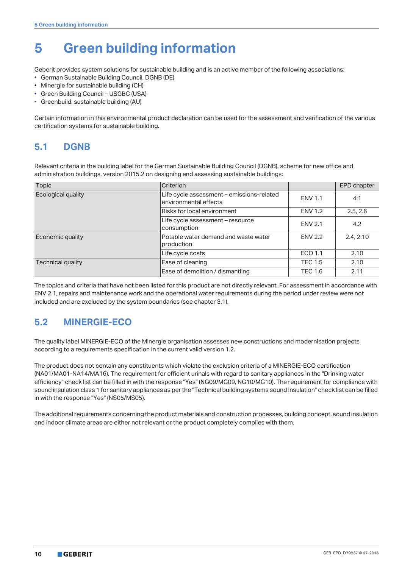# **5 Green building information**

Geberit provides system solutions for sustainable building and is an active member of the following associations:

- German Sustainable Building Council, DGNB (DE)
- Minergie for sustainable building (CH)
- Green Building Council USGBC (USA)
- Greenbuild, sustainable building (AU)

Certain information in this environmental product declaration can be used for the assessment and verification of the various certification systems for sustainable building.

# **5.1 DGNB**

Relevant criteria in the building label for the German Sustainable Building Council (DGNB), scheme for new office and administration buildings, version 2015.2 on designing and assessing sustainable buildings:

| Topic              | Criterion                                                          |                | EPD chapter |
|--------------------|--------------------------------------------------------------------|----------------|-------------|
| Ecological quality | Life cycle assessment - emissions-related<br>environmental effects | <b>ENV 1.1</b> | 4.1         |
|                    | Risks for local environment                                        | <b>ENV 1.2</b> | 2.5, 2.6    |
|                    | Life cycle assessment - resource<br>consumption                    | <b>ENV 2.1</b> | 4.2         |
| Economic quality   | Potable water demand and waste water<br>production                 | <b>ENV 2.2</b> | 2.4, 2.10   |
|                    | Life cycle costs                                                   | ECO 1.1        | 2.10        |
| Technical quality  | Ease of cleaning                                                   | <b>TEC 1.5</b> | 2.10        |
|                    | Ease of demolition / dismantling                                   | <b>TEC 1.6</b> | 2.11        |

The topics and criteria that have not been listed for this product are not directly relevant. For assessment in accordance with ENV 2.1, repairs and maintenance work and the operational water requirements during the period under review were not included and are excluded by the system boundaries (see chapter [3.1](#page-6-0)).

# **5.2 MINERGIE-ECO**

The quality label MINERGIE-ECO of the Minergie organisation assesses new constructions and modernisation projects according to a requirements specification in the current valid version 1.2.

The product does not contain any constituents which violate the exclusion criteria of a MINERGIE-ECO certification (NA01/MA01-NA14/MA16). The requirement for efficient urinals with regard to sanitary appliances in the "Drinking water efficiency" check list can be filled in with the response "Yes" (NG09/MG09, NG10/MG10). The requirement for compliance with sound insulation class 1 for sanitary appliances as per the "Technical building systems sound insulation" check list can be filled in with the response "Yes" (NS05/MS05).

The additional requirements concerning the product materials and construction processes, building concept, sound insulation and indoor climate areas are either not relevant or the product completely complies with them.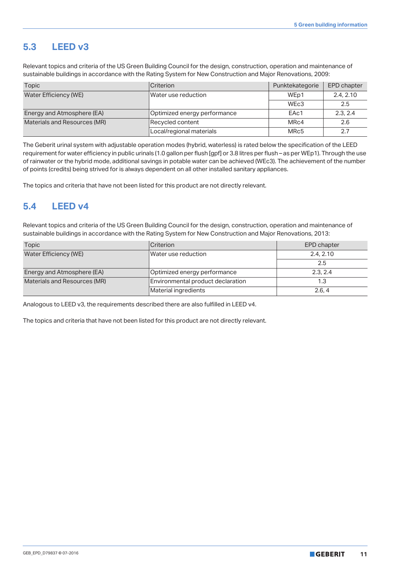#### **5.3 LEED v3**

Relevant topics and criteria of the US Green Building Council for the design, construction, operation and maintenance of sustainable buildings in accordance with the Rating System for New Construction and Major Renovations, 2009:

| Topic                        | <b>Criterion</b>             | Punktekategorie   | <b>EPD chapter</b> |
|------------------------------|------------------------------|-------------------|--------------------|
| Water Efficiency (WE)        | Water use reduction          | WE <sub>p1</sub>  | 2.4, 2.10          |
|                              |                              | WE <sub>c</sub> 3 | 2.5                |
| Energy and Atmosphere (EA)   | Optimized energy performance | EAc1              | 2.3.2.4            |
| Materials and Resources (MR) | Recycled content             | MR <sub>C</sub> 4 | 2.6                |
|                              | Local/regional materials     | MRc5              | 2.7                |

The Geberit urinal system with adjustable operation modes (hybrid, waterless) is rated below the specification of the LEED requirement for water efficiency in public urinals (1.0 gallon per flush [gpf] or 3.8 litres per flush – as per WEp1). Through the use of rainwater or the hybrid mode, additional savings in potable water can be achieved (WEc3). The achievement of the number of points (credits) being strived for is always dependent on all other installed sanitary appliances.

The topics and criteria that have not been listed for this product are not directly relevant.

#### **5.4 LEED v4**

Relevant topics and criteria of the US Green Building Council for the design, construction, operation and maintenance of sustainable buildings in accordance with the Rating System for New Construction and Major Renovations, 2013:

| Topic                        | Criterion                         | EPD chapter |  |
|------------------------------|-----------------------------------|-------------|--|
| Water Efficiency (WE)        | Water use reduction               | 2.4.2.10    |  |
|                              |                                   | 2.5         |  |
| Energy and Atmosphere (EA)   | Optimized energy performance      | 2.3.2.4     |  |
| Materials and Resources (MR) | Environmental product declaration | 1.3         |  |
|                              | Material ingredients              | 2.6.4       |  |

Analogous to LEED v3, the requirements described there are also fulfilled in LEED v4.

The topics and criteria that have not been listed for this product are not directly relevant.